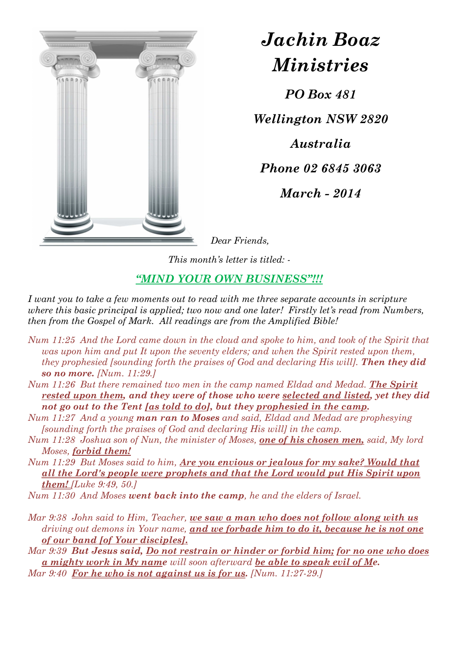

*Jachin Boaz Ministries*

*PO Box 481* 

*Wellington NSW 2820* 

*Australia* 

*Phone 02 6845 3063* 

*March - 2014* 

*Dear Friends,* 

*This month's letter is titled: -* 

## *"MIND YOUR OWN BUSINESS"!!!*

*I want you to take a few moments out to read with me three separate accounts in scripture where this basic principal is applied; two now and one later! Firstly let's read from Numbers, then from the Gospel of Mark. All readings are from the Amplified Bible!* 

- *Num 11:25 And the Lord came down in the cloud and spoke to him, and took of the Spirit that was upon him and put It upon the seventy elders; and when the Spirit rested upon them, they prophesied [sounding forth the praises of God and declaring His will]. Then they did so no more. [Num. 11:29.]*
- *Num 11:26 But there remained two men in the camp named Eldad and Medad. The Spirit rested upon them, and they were of those who were selected and listed, yet they did not go out to the Tent [as told to do], but they prophesied in the camp.*
- *Num 11:27 And a young man ran to Moses and said, Eldad and Medad are prophesying [sounding forth the praises of God and declaring His will] in the camp.*
- *Num 11:28 Joshua son of Nun, the minister of Moses, one of his chosen men, said, My lord Moses, forbid them!*
- *Num 11:29 But Moses said to him, Are you envious or jealous for my sake? Would that all the Lord's people were prophets and that the Lord would put His Spirit upon them! [Luke 9:49, 50.]*
- *Num 11:30 And Moses went back into the camp, he and the elders of Israel.*
- *Mar 9:38 John said to Him, Teacher, we saw a man who does not follow along with us driving out demons in Your name, and we forbade him to do it, because he is not one of our band [of Your disciples].*
- *Mar 9:39 But Jesus said, Do not restrain or hinder or forbid him; for no one who does a mighty work in My name will soon afterward be able to speak evil of Me.*
- *Mar 9:40 For he who is not against us is for us. [Num. 11:27-29.]*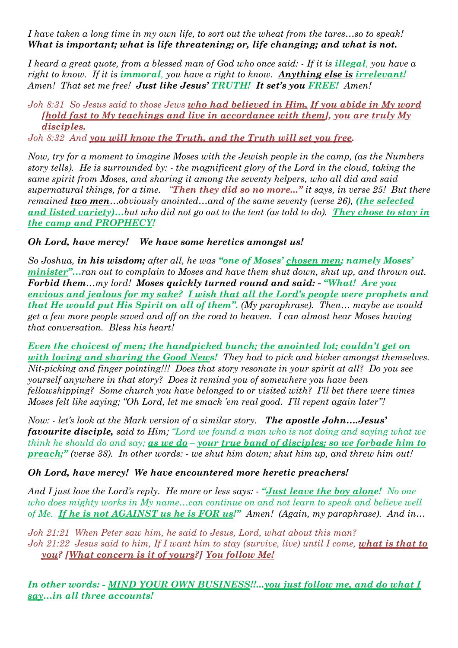*I have taken a long time in my own life, to sort out the wheat from the tares…so to speak! What is important; what is life threatening; or, life changing; and what is not.* 

*I heard a great quote, from a blessed man of God who once said: - If it is <i>illegal*, you have a *right to know. If it is immoral, you have a right to know. Anything else is irrelevant! Amen! That set me free! Just like Jesus' TRUTH! It set's you FREE! Amen!* 

*Joh 8:31 So Jesus said to those Jews who had believed in Him, If you abide in My word [hold fast to My teachings and live in accordance with them], you are truly My disciples.* 

*Joh 8:32 And you will know the Truth, and the Truth will set you free.*

*Now, try for a moment to imagine Moses with the Jewish people in the camp, (as the Numbers story tells). He is surrounded by: - the magnificent glory of the Lord in the cloud, taking the same spirit from Moses, and sharing it among the seventy helpers, who all did and said supernatural things, for a time. "Then they did so no more..." it says, in verse 25! But there remained two men…obviously anointed…and of the same seventy (verse 26), (the selected and listed variety)…but who did not go out to the tent (as told to do). They chose to stay in the camp and PROPHECY!* 

## *Oh Lord, have mercy! We have some heretics amongst us!*

*So Joshua, in his wisdom; after all, he was "one of Moses' chosen men; namely Moses' minister"…ran out to complain to Moses and have them shut down, shut up, and thrown out. Forbid them…my lord! Moses quickly turned round and said: - "What! Are you envious and jealous for my sake? I wish that all the Lord's people were prophets and that He would put His Spirit on all of them". (My paraphrase). Then… maybe we would get a few more people saved and off on the road to heaven. I can almost hear Moses having that conversation. Bless his heart!* 

*Even the choicest of men; the handpicked bunch; the anointed lot; couldn't get on with loving and sharing the Good News! They had to pick and bicker amongst themselves. Nit-picking and finger pointing!!! Does that story resonate in your spirit at all? Do you see yourself anywhere in that story? Does it remind you of somewhere you have been fellowshipping? Some church you have belonged to or visited with? I'll bet there were times Moses felt like saying; "Oh Lord, let me smack 'em real good. I'll repent again later"!* 

*Now: - let's look at the Mark version of a similar story. The apostle John….Jesus' favourite disciple, said to Him; "Lord we found a man who is not doing and saying what we think he should do and say; as we do – your true band of disciples; so we forbade him to preach;" (verse 38). In other words: - we shut him down; shut him up, and threw him out!* 

## *Oh Lord, have mercy! We have encountered more heretic preachers!*

*And I just love the Lord's reply. He more or less says: - "Just leave the boy alone! No one who does mighty works in My name…can continue on and not learn to speak and believe well of Me. If he is not AGAINST us he is FOR us!" Amen! (Again, my paraphrase). And in…* 

*Joh 21:21 When Peter saw him, he said to Jesus, Lord, what about this man? Joh 21:22 Jesus said to him, If I want him to stay (survive, live) until I come, what is that to you? [What concern is it of yours?] You follow Me!* 

*In other words: - MIND YOUR OWN BUSINESS!!...you just follow me, and do what I say…in all three accounts!*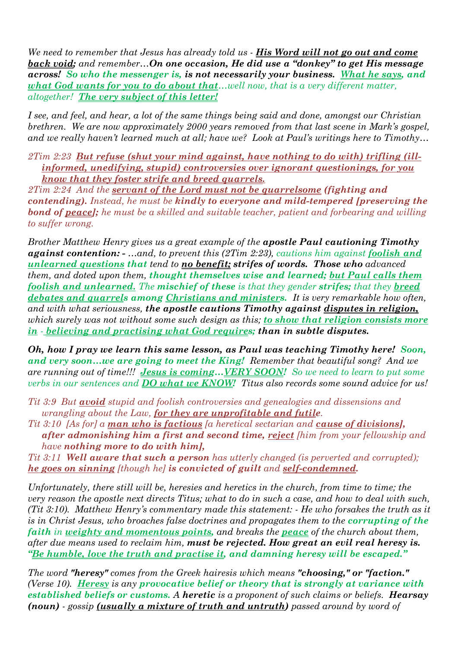We need to remember that Jesus has already told us - **His Word will not go out and come** *back void; and remember…On one occasion, He did use a "donkey" to get His message across! So who the messenger is, is not necessarily your business. What he says, and what God wants for you to do about that…well now, that is a very different matter, altogether! The very subject of this letter!*

*I see, and feel, and hear, a lot of the same things being said and done, amongst our Christian brethren. We are now approximately 2000 years removed from that last scene in Mark's gospel, and we really haven't learned much at all; have we? Look at Paul's writings here to Timothy…* 

*2Tim 2:23 But refuse (shut your mind against, have nothing to do with) trifling (illinformed, unedifying, stupid) controversies over ignorant questionings, for you know that they foster strife and breed quarrels.* 

*2Tim 2:24 And the servant of the Lord must not be quarrelsome (fighting and contending). Instead, he must be kindly to everyone and mild-tempered [preserving the bond of peace]; he must be a skilled and suitable teacher, patient and forbearing and willing to suffer wrong.* 

*Brother Matthew Henry gives us a great example of the apostle Paul cautioning Timothy against contention: - …and, to prevent this (2Tim 2:23), cautions him against foolish and unlearned questions that tend to no benefit; strifes of words. Those who advanced them, and doted upon them, thought themselves wise and learned; but Paul calls them foolish and unlearned. The mischief of these is that they gender strifes; that they breed debates and quarrels among Christians and ministers. It is very remarkable how often, and with what seriousness, the apostle cautions Timothy against disputes in religion, which surely was not without some such design as this; to show that religion consists more in - believing and practising what God requires; than in subtle disputes.* 

*Oh, how I pray we learn this same lesson, as Paul was teaching Timothy here! Soon, and very soon…we are going to meet the King! Remember that beautiful song? And we are running out of time!!! Jesus is coming…VERY SOON! So we need to learn to put some verbs in our sentences and DO what we KNOW! Titus also records some sound advice for us!* 

*Tit 3:9 But avoid stupid and foolish controversies and genealogies and dissensions and wrangling about the Law, for they are unprofitable and futile.* 

*Tit 3:10 [As for] a man who is factious [a heretical sectarian and cause of divisions], after admonishing him a first and second time, reject [him from your fellowship and have nothing more to do with him],* 

*Tit 3:11 Well aware that such a person has utterly changed (is perverted and corrupted); he goes on sinning [though he] is convicted of guilt and self-condemned.*

*Unfortunately, there still will be, heresies and heretics in the church, from time to time; the very reason the apostle next directs Titus; what to do in such a case, and how to deal with such, (Tit 3:10). Matthew Henry's commentary made this statement: - He who forsakes the truth as it is in Christ Jesus, who broaches false doctrines and propagates them to the corrupting of the faith in weighty and momentous points, and breaks the peace of the church about them, after due means used to reclaim him, must be rejected. How great an evil real heresy is. "Be humble, love the truth and practise it, and damning heresy will be escaped."* 

*The word "heresy" comes from the Greek hairesis which means "choosing," or "faction." (Verse 10). Heresy is any provocative belief or theory that is strongly at variance with established beliefs or customs. A heretic is a proponent of such claims or beliefs. Hearsay (noun) - gossip (usually a mixture of truth and untruth) passed around by word of*